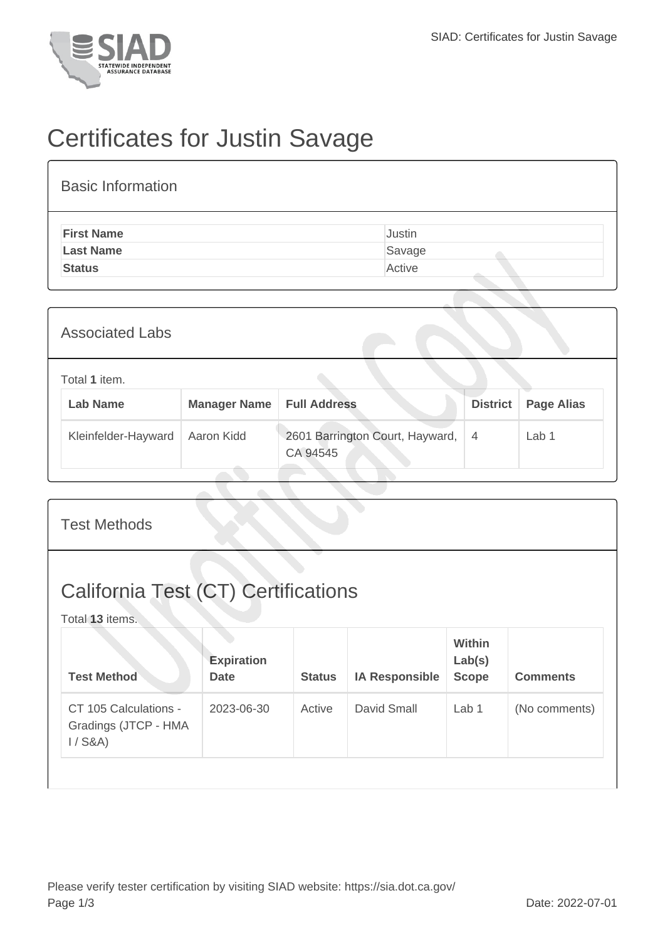

## Certificates for Justin Savage

| <b>Basic Information</b> |        |
|--------------------------|--------|
| <b>First Name</b>        | Justin |
| <b>Last Name</b>         | Savage |
| <b>Status</b>            | Active |

| <b>Associated Labs</b>           |                     |                                             |                 |                   |
|----------------------------------|---------------------|---------------------------------------------|-----------------|-------------------|
| Total 1 item.<br><b>Lab Name</b> | <b>Manager Name</b> | <b>Full Address</b>                         | <b>District</b> | <b>Page Alias</b> |
| Kleinfelder-Hayward              | Aaron Kidd          | 2601 Barrington Court, Hayward,<br>CA 94545 | $\overline{4}$  | Lab <sub>1</sub>  |

| <b>Test Methods</b>                                           |                                  |               |                       |                                         |                 |  |  |
|---------------------------------------------------------------|----------------------------------|---------------|-----------------------|-----------------------------------------|-----------------|--|--|
| <b>California Test (CT) Certifications</b><br>Total 13 items. |                                  |               |                       |                                         |                 |  |  |
| <b>Test Method</b>                                            | <b>Expiration</b><br><b>Date</b> | <b>Status</b> | <b>IA Responsible</b> | <b>Within</b><br>Lab(s)<br><b>Scope</b> | <b>Comments</b> |  |  |
| CT 105 Calculations -<br>Gradings (JTCP - HMA<br>$1/$ S&A)    | 2023-06-30                       | Active        | David Small           | Lab <sub>1</sub>                        | (No comments)   |  |  |
|                                                               |                                  |               |                       |                                         |                 |  |  |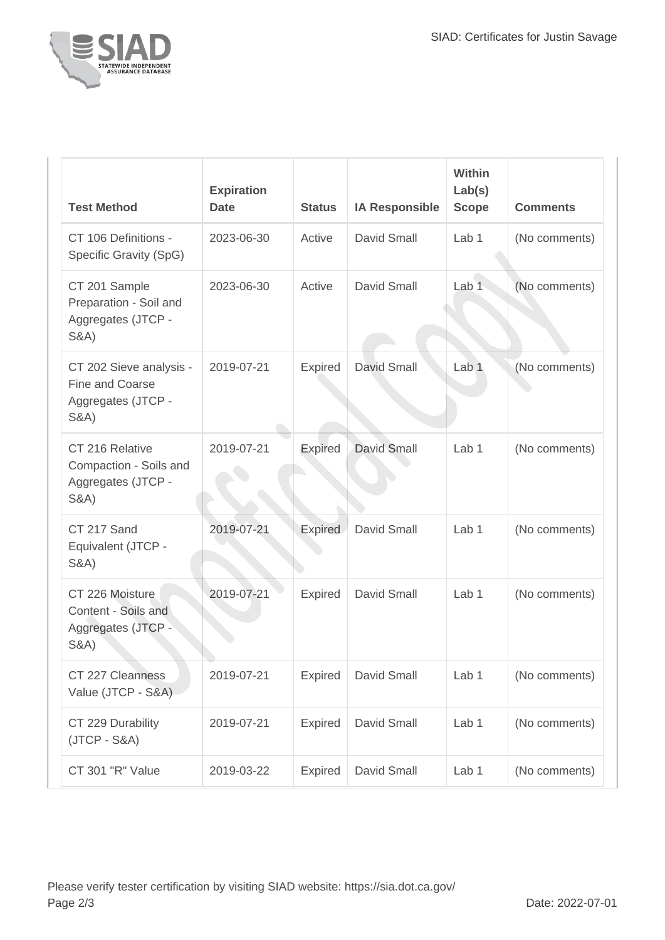

| <b>Test Method</b>                                                                  | <b>Expiration</b><br><b>Date</b> | <b>Status</b>  | <b>IA Responsible</b> | <b>Within</b><br>Lab(s)<br><b>Scope</b> | <b>Comments</b> |
|-------------------------------------------------------------------------------------|----------------------------------|----------------|-----------------------|-----------------------------------------|-----------------|
| CT 106 Definitions -<br>Specific Gravity (SpG)                                      | 2023-06-30                       | Active         | <b>David Small</b>    | Lab <sub>1</sub>                        | (No comments)   |
| CT 201 Sample<br>Preparation - Soil and<br>Aggregates (JTCP -<br><b>S&amp;A</b> )   | 2023-06-30                       | Active         | <b>David Small</b>    | Lab <sub>1</sub>                        | (No comments)   |
| CT 202 Sieve analysis -<br>Fine and Coarse<br>Aggregates (JTCP -<br><b>S&amp;A)</b> | 2019-07-21                       | Expired        | <b>David Small</b>    | Lab <sub>1</sub>                        | (No comments)   |
| CT 216 Relative<br>Compaction - Soils and<br>Aggregates (JTCP -<br><b>S&amp;A)</b>  | 2019-07-21                       | Expired        | <b>David Small</b>    | Lab <sub>1</sub>                        | (No comments)   |
| CT 217 Sand<br>Equivalent (JTCP -<br><b>S&amp;A)</b>                                | 2019-07-21                       | Expired        | David Small           | Lab <sub>1</sub>                        | (No comments)   |
| CT 226 Moisture<br>Content - Soils and<br>Aggregates (JTCP -<br><b>S&amp;A)</b>     | 2019-07-21                       | Expired        | David Small           | Lab <sub>1</sub>                        | (No comments)   |
| CT 227 Cleanness<br>Value (JTCP - S&A)                                              | 2019-07-21                       | <b>Expired</b> | David Small           | Lab <sub>1</sub>                        | (No comments)   |
| CT 229 Durability<br>$(JTCP - S&A)$                                                 | 2019-07-21                       | <b>Expired</b> | David Small           | Lab 1                                   | (No comments)   |
| CT 301 "R" Value                                                                    | 2019-03-22                       | Expired        | David Small           | Lab 1                                   | (No comments)   |